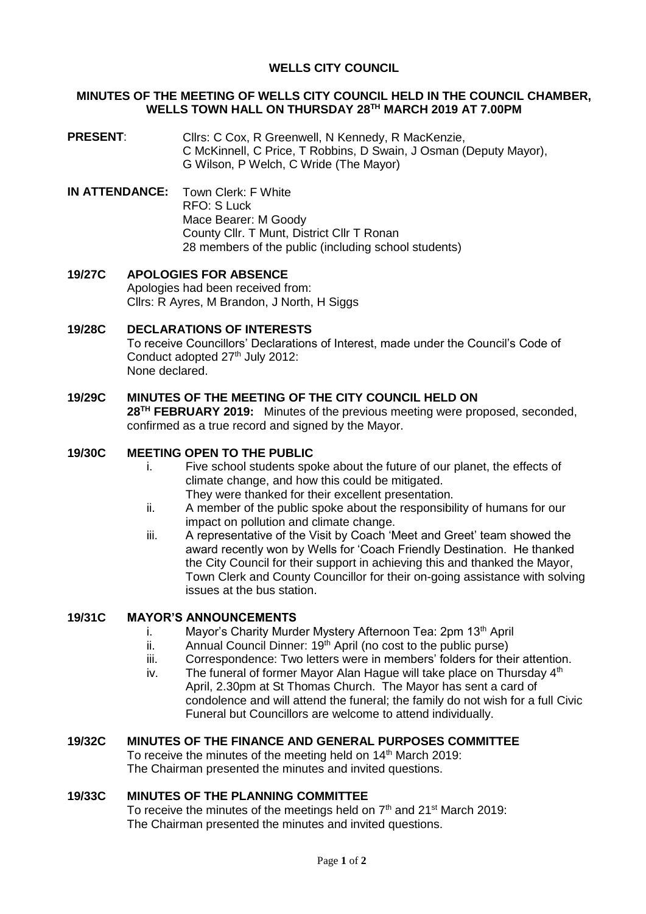# **WELLS CITY COUNCIL**

#### **MINUTES OF THE MEETING OF WELLS CITY COUNCIL HELD IN THE COUNCIL CHAMBER, WELLS TOWN HALL ON THURSDAY 28TH MARCH 2019 AT 7.00PM**

- **PRESENT:** Cllrs: C Cox, R Greenwell, N Kennedy, R MacKenzie, C McKinnell, C Price, T Robbins, D Swain, J Osman (Deputy Mayor), G Wilson, P Welch, C Wride (The Mayor)
- **IN ATTENDANCE:** Town Clerk: F White RFO: S Luck Mace Bearer: M Goody County Cllr. T Munt, District Cllr T Ronan 28 members of the public (including school students)
- **19/27C APOLOGIES FOR ABSENCE** Apologies had been received from: Cllrs: R Ayres, M Brandon, J North, H Siggs

# **19/28C DECLARATIONS OF INTERESTS**

To receive Councillors' Declarations of Interest, made under the Council's Code of Conduct adopted 27<sup>th</sup> July 2012: None declared.

# **19/29C MINUTES OF THE MEETING OF THE CITY COUNCIL HELD ON**

**28TH FEBRUARY 2019:** Minutes of the previous meeting were proposed, seconded, confirmed as a true record and signed by the Mayor.

# **19/30C MEETING OPEN TO THE PUBLIC**

- i. Five school students spoke about the future of our planet, the effects of climate change, and how this could be mitigated. They were thanked for their excellent presentation.
- ii. A member of the public spoke about the responsibility of humans for our impact on pollution and climate change.
- iii. A representative of the Visit by Coach 'Meet and Greet' team showed the award recently won by Wells for 'Coach Friendly Destination. He thanked the City Council for their support in achieving this and thanked the Mayor, Town Clerk and County Councillor for their on-going assistance with solving issues at the bus station.

# **19/31C MAYOR'S ANNOUNCEMENTS**

- i. Mayor's Charity Murder Mystery Afternoon Tea: 2pm 13<sup>th</sup> April
- ii. Annual Council Dinner:  $19<sup>th</sup>$  April (no cost to the public purse)
- iii. Correspondence: Two letters were in members' folders for their attention.
- iv. The funeral of former Mayor Alan Hague will take place on Thursday  $4<sup>th</sup>$ April, 2.30pm at St Thomas Church. The Mayor has sent a card of condolence and will attend the funeral; the family do not wish for a full Civic Funeral but Councillors are welcome to attend individually.

### **19/32C MINUTES OF THE FINANCE AND GENERAL PURPOSES COMMITTEE**

To receive the minutes of the meeting held on 14<sup>th</sup> March 2019: The Chairman presented the minutes and invited questions.

### **19/33C MINUTES OF THE PLANNING COMMITTEE**

To receive the minutes of the meetings held on 7<sup>th</sup> and 21<sup>st</sup> March 2019: The Chairman presented the minutes and invited questions.